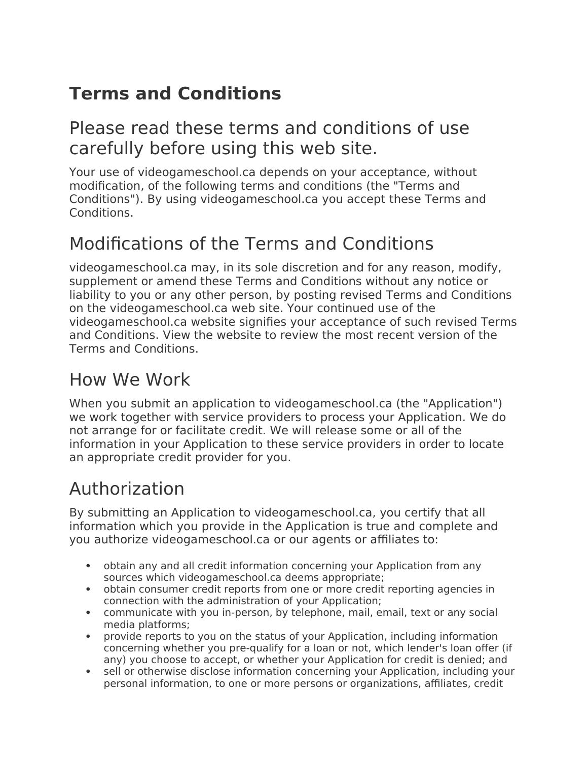# **Terms and Conditions**

#### Please read these terms and conditions of use carefully before using this web site.

Your use of videogameschool.ca depends on your acceptance, without modification, of the following terms and conditions (the "Terms and Conditions"). By using videogameschool.ca you accept these Terms and Conditions.

### Modifications of the Terms and Conditions

videogameschool.ca may, in its sole discretion and for any reason, modify, supplement or amend these Terms and Conditions without any notice or liability to you or any other person, by posting revised Terms and Conditions on the videogameschool.ca web site. Your continued use of the videogameschool.ca website signifies your acceptance of such revised Terms and Conditions. View the website to review the most recent version of the Terms and Conditions.

#### How We Work

When you submit an application to videogameschool.ca (the "Application") we work together with service providers to process your Application. We do not arrange for or facilitate credit. We will release some or all of the information in your Application to these service providers in order to locate an appropriate credit provider for you.

#### Authorization

By submitting an Application to videogameschool.ca, you certify that all information which you provide in the Application is true and complete and you authorize videogameschool.ca or our agents or affiliates to:

- obtain any and all credit information concerning your Application from any sources which videogameschool.ca deems appropriate;
- obtain consumer credit reports from one or more credit reporting agencies in connection with the administration of your Application;
- communicate with you in-person, by telephone, mail, email, text or any social media platforms;
- provide reports to you on the status of your Application, including information concerning whether you pre-qualify for a loan or not, which lender's loan offer (if any) you choose to accept, or whether your Application for credit is denied; and
- sell or otherwise disclose information concerning your Application, including your personal information, to one or more persons or organizations, affiliates, credit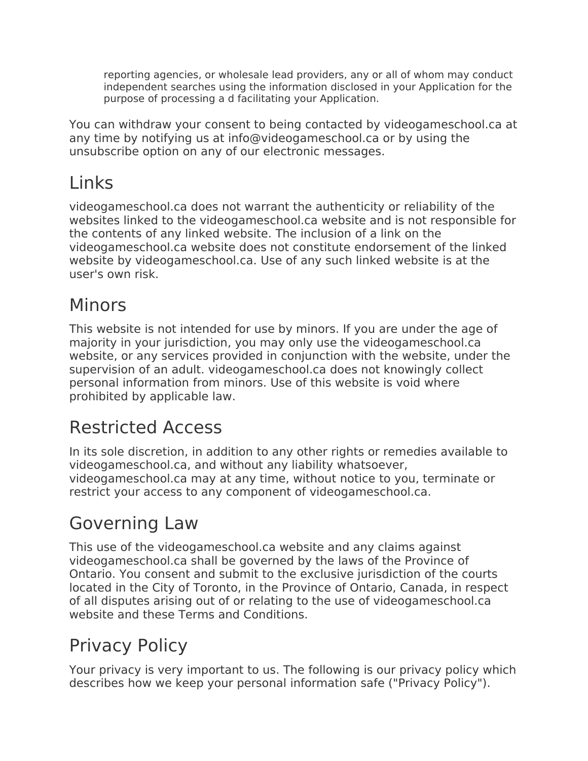reporting agencies, or wholesale lead providers, any or all of whom may conduct independent searches using the information disclosed in your Application for the purpose of processing a d facilitating your Application.

You can withdraw your consent to being contacted by videogameschool.ca at any time by notifying us at info@videogameschool.ca or by using the unsubscribe option on any of our electronic messages.

# Links

videogameschool.ca does not warrant the authenticity or reliability of the websites linked to the videogameschool.ca website and is not responsible for the contents of any linked website. The inclusion of a link on the videogameschool.ca website does not constitute endorsement of the linked website by videogameschool.ca. Use of any such linked website is at the user's own risk.

### Minors

This website is not intended for use by minors. If you are under the age of majority in your jurisdiction, you may only use the videogameschool.ca website, or any services provided in conjunction with the website, under the supervision of an adult. videogameschool.ca does not knowingly collect personal information from minors. Use of this website is void where prohibited by applicable law.

# Restricted Access

In its sole discretion, in addition to any other rights or remedies available to videogameschool.ca, and without any liability whatsoever, videogameschool.ca may at any time, without notice to you, terminate or restrict your access to any component of videogameschool.ca.

# Governing Law

This use of the videogameschool.ca website and any claims against videogameschool.ca shall be governed by the laws of the Province of Ontario. You consent and submit to the exclusive jurisdiction of the courts located in the City of Toronto, in the Province of Ontario, Canada, in respect of all disputes arising out of or relating to the use of videogameschool.ca website and these Terms and Conditions.

# Privacy Policy

Your privacy is very important to us. The following is our privacy policy which describes how we keep your personal information safe ("Privacy Policy").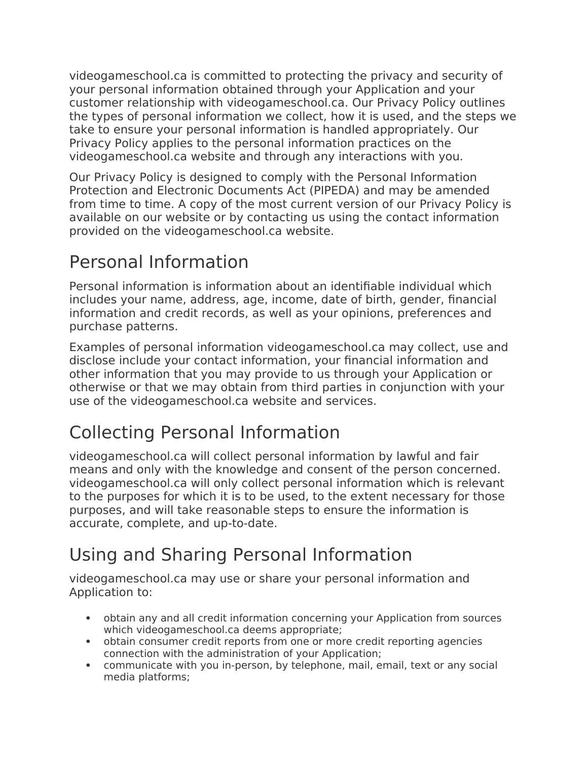videogameschool.ca is committed to protecting the privacy and security of your personal information obtained through your Application and your customer relationship with videogameschool.ca. Our Privacy Policy outlines the types of personal information we collect, how it is used, and the steps we take to ensure your personal information is handled appropriately. Our Privacy Policy applies to the personal information practices on the videogameschool.ca website and through any interactions with you.

Our Privacy Policy is designed to comply with the Personal Information Protection and Electronic Documents Act (PIPEDA) and may be amended from time to time. A copy of the most current version of our Privacy Policy is available on our website or by contacting us using the contact information provided on the videogameschool.ca website.

### Personal Information

Personal information is information about an identifiable individual which includes your name, address, age, income, date of birth, gender, financial information and credit records, as well as your opinions, preferences and purchase patterns.

Examples of personal information videogameschool.ca may collect, use and disclose include your contact information, your financial information and other information that you may provide to us through your Application or otherwise or that we may obtain from third parties in conjunction with your use of the videogameschool.ca website and services.

# Collecting Personal Information

videogameschool.ca will collect personal information by lawful and fair means and only with the knowledge and consent of the person concerned. videogameschool.ca will only collect personal information which is relevant to the purposes for which it is to be used, to the extent necessary for those purposes, and will take reasonable steps to ensure the information is accurate, complete, and up-to-date.

# Using and Sharing Personal Information

videogameschool.ca may use or share your personal information and Application to:

- obtain any and all credit information concerning your Application from sources which videogameschool.ca deems appropriate;
- obtain consumer credit reports from one or more credit reporting agencies connection with the administration of your Application;
- communicate with you in-person, by telephone, mail, email, text or any social media platforms;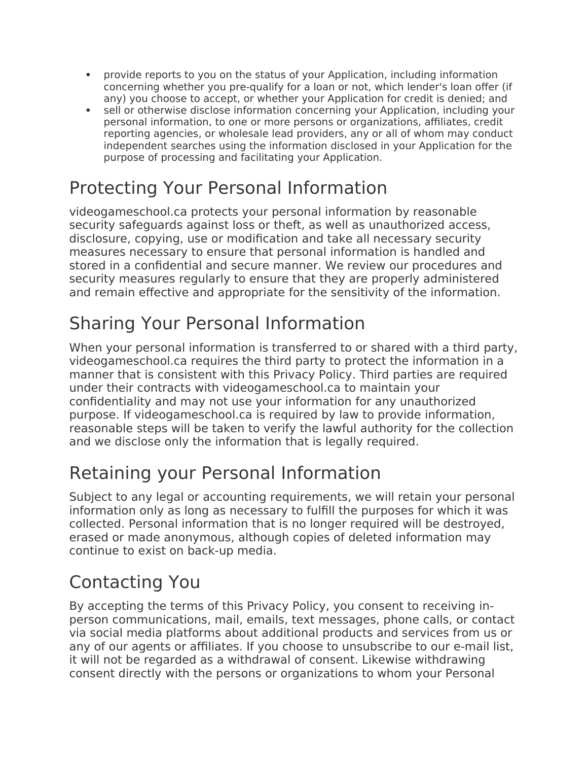- provide reports to you on the status of your Application, including information concerning whether you pre-qualify for a loan or not, which lender's loan offer (if any) you choose to accept, or whether your Application for credit is denied; and
- sell or otherwise disclose information concerning your Application, including your personal information, to one or more persons or organizations, affiliates, credit reporting agencies, or wholesale lead providers, any or all of whom may conduct independent searches using the information disclosed in your Application for the purpose of processing and facilitating your Application.

#### Protecting Your Personal Information

videogameschool.ca protects your personal information by reasonable security safeguards against loss or theft, as well as unauthorized access, disclosure, copying, use or modification and take all necessary security measures necessary to ensure that personal information is handled and stored in a confidential and secure manner. We review our procedures and security measures regularly to ensure that they are properly administered and remain effective and appropriate for the sensitivity of the information.

### Sharing Your Personal Information

When your personal information is transferred to or shared with a third party, videogameschool.ca requires the third party to protect the information in a manner that is consistent with this Privacy Policy. Third parties are required under their contracts with videogameschool.ca to maintain your confidentiality and may not use your information for any unauthorized purpose. If videogameschool.ca is required by law to provide information, reasonable steps will be taken to verify the lawful authority for the collection and we disclose only the information that is legally required.

#### Retaining your Personal Information

Subject to any legal or accounting requirements, we will retain your personal information only as long as necessary to fulfill the purposes for which it was collected. Personal information that is no longer required will be destroyed, erased or made anonymous, although copies of deleted information may continue to exist on back-up media.

#### Contacting You

By accepting the terms of this Privacy Policy, you consent to receiving inperson communications, mail, emails, text messages, phone calls, or contact via social media platforms about additional products and services from us or any of our agents or affiliates. If you choose to unsubscribe to our e-mail list, it will not be regarded as a withdrawal of consent. Likewise withdrawing consent directly with the persons or organizations to whom your Personal